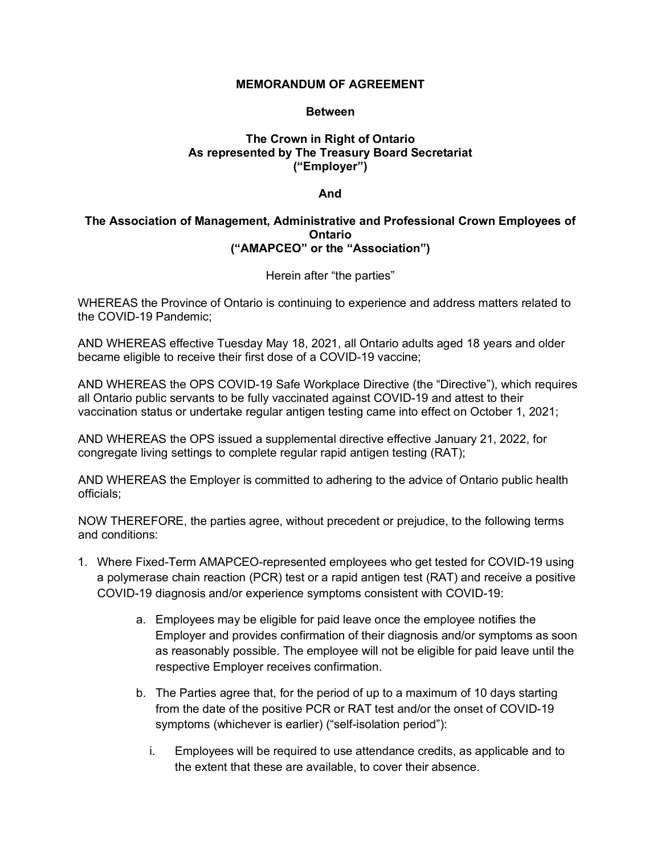## **MEMORANDUM OF AGREEMENT**

## **Between**

# **The Crown in Right of Ontario As represented by The Treasury Board Secretariat ("Employer")**

#### **And**

## **The Association of Management, Administrative and Professional Crown Employees of Ontario ("AMAPCEO" or the "Association")**

Herein after "the parties"

WHEREAS the Province of Ontario is continuing to experience and address matters related to the COVID-19 Pandemic;

AND WHEREAS effective Tuesday May 18, 2021, all Ontario adults aged 18 years and older became eligible to receive their first dose of a COVID-19 vaccine;

AND WHEREAS the OPS COVID-19 Safe Workplace Directive (the "Directive"), which requires all Ontario public servants to be fully vaccinated against COVID-19 and attest to their vaccination status or undertake regular antigen testing came into effect on October 1, 2021;

AND WHEREAS the OPS issued a supplemental directive effective January 21, 2022, for congregate living settings to complete regular rapid antigen testing (RAT);

AND WHEREAS the Employer is committed to adhering to the advice of Ontario public health officials;

NOW THEREFORE, the parties agree, without precedent or prejudice, to the following terms and conditions:

- 1. Where Fixed-Term AMAPCEO-represented employees who get tested for COVID-19 using a polymerase chain reaction (PCR) test or a rapid antigen test (RAT) and receive a positive COVID-19 diagnosis and/or experience symptoms consistent with COVID-19:
	- a. Employees may be eligible for paid leave once the employee notifies the Employer and provides confirmation of their diagnosis and/or symptoms as soon as reasonably possible. The employee will not be eligible for paid leave until the respective Employer receives confirmation.
	- b. The Parties agree that, for the period of up to a maximum of 10 days starting from the date of the positive PCR or RAT test and/or the onset of COVID-19 symptoms (whichever is earlier) ("self-isolation period"):
		- i. Employees will be required to use attendance credits, as applicable and to the extent that these are available, to cover their absence.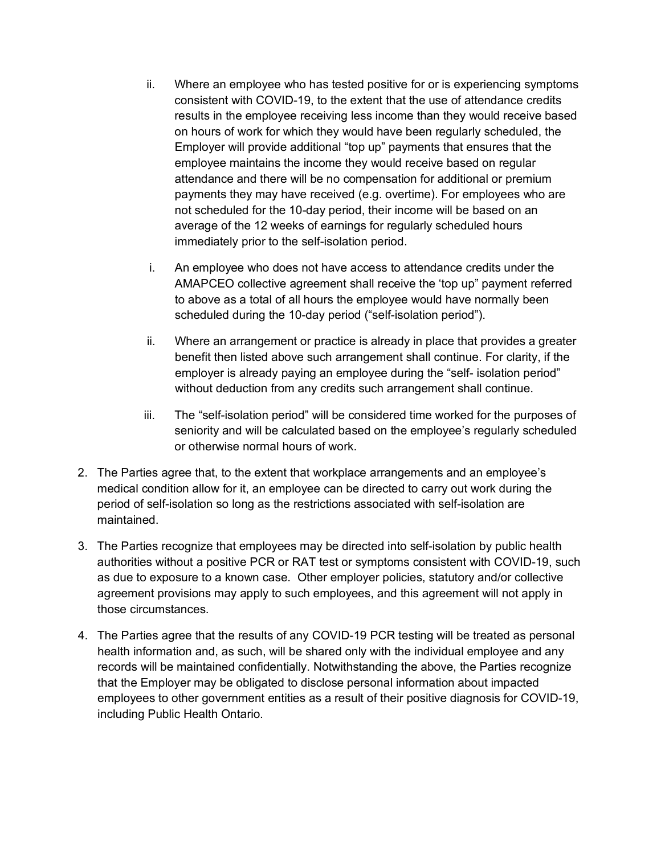- ii. Where an employee who has tested positive for or is experiencing symptoms consistent with COVID-19, to the extent that the use of attendance credits results in the employee receiving less income than they would receive based on hours of work for which they would have been regularly scheduled, the Employer will provide additional "top up" payments that ensures that the employee maintains the income they would receive based on regular attendance and there will be no compensation for additional or premium payments they may have received (e.g. overtime). For employees who are not scheduled for the 10-day period, their income will be based on an average of the 12 weeks of earnings for regularly scheduled hours immediately prior to the self-isolation period.
- i. An employee who does not have access to attendance credits under the AMAPCEO collective agreement shall receive the 'top up" payment referred to above as a total of all hours the employee would have normally been scheduled during the 10-day period ("self-isolation period").
- ii. Where an arrangement or practice is already in place that provides a greater benefit then listed above such arrangement shall continue. For clarity, if the employer is already paying an employee during the "self- isolation period" without deduction from any credits such arrangement shall continue.
- iii. The "self-isolation period" will be considered time worked for the purposes of seniority and will be calculated based on the employee's regularly scheduled or otherwise normal hours of work.
- 2. The Parties agree that, to the extent that workplace arrangements and an employee's medical condition allow for it, an employee can be directed to carry out work during the period of self-isolation so long as the restrictions associated with self-isolation are maintained.
- 3. The Parties recognize that employees may be directed into self-isolation by public health authorities without a positive PCR or RAT test or symptoms consistent with COVID-19, such as due to exposure to a known case. Other employer policies, statutory and/or collective agreement provisions may apply to such employees, and this agreement will not apply in those circumstances.
- 4. The Parties agree that the results of any COVID-19 PCR testing will be treated as personal health information and, as such, will be shared only with the individual employee and any records will be maintained confidentially. Notwithstanding the above, the Parties recognize that the Employer may be obligated to disclose personal information about impacted employees to other government entities as a result of their positive diagnosis for COVID-19, including Public Health Ontario.